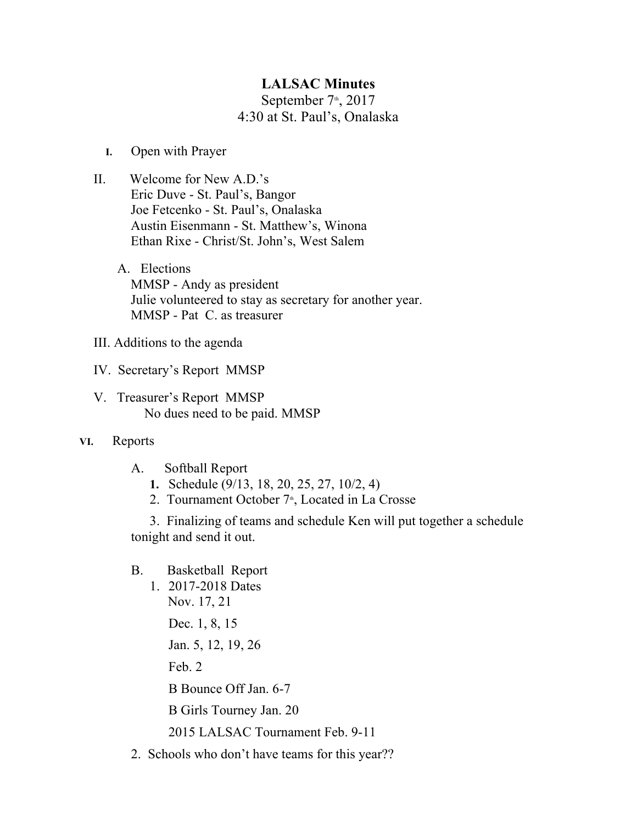## **LALSAC Minutes**

September  $7<sup>th</sup>$ , 2017 4:30 at St. Paul's, Onalaska

- **I.** Open with Prayer
- II. Welcome for New A.D.'s Eric Duve - St. Paul's, Bangor Joe Fetcenko - St. Paul's, Onalaska Austin Eisenmann - St. Matthew's, Winona Ethan Rixe - Christ/St. John's, West Salem
	- A. Elections MMSP - Andy as president Julie volunteered to stay as secretary for another year. MMSP - Pat C. as treasurer
- III. Additions to the agenda
- IV. Secretary's Report MMSP
- V. Treasurer's Report MMSP No dues need to be paid. MMSP
- **VI.** Reports
	- A. Softball Report
		- **1.** Schedule (9/13, 18, 20, 25, 27, 10/2, 4)
		- 2. Tournament October 7<sup>th</sup>, Located in La Crosse

3. Finalizing of teams and schedule Ken will put together a schedule tonight and send it out.

- B. Basketball Report
	- 1. 2017-2018 Dates Nov. 17, 21 Dec. 1, 8, 15 Jan. 5, 12, 19, 26 Feb. 2 B Bounce Off Jan. 6-7 B Girls Tourney Jan. 20 2015 LALSAC Tournament Feb. 9-11
- 2. Schools who don't have teams for this year??